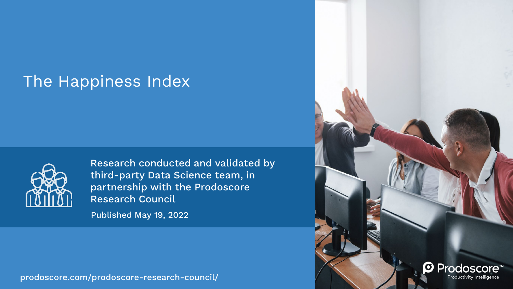#### The Happiness Index



Research conducted and validated by third-party Data Science team, in partnership with the Prodoscore Research Council

Published May 19, 2022

[prodoscore.com/prodoscore-research-council/](https://www.prodoscore.com/prodoscore-research-council/)

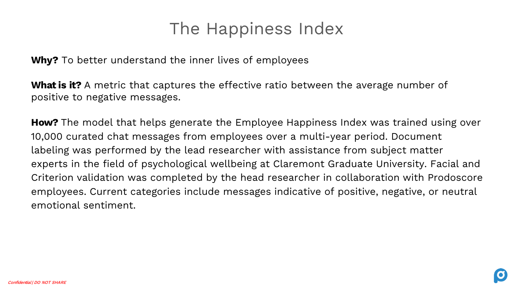## The Happiness Index

**Why?** To better understand the inner lives of employees

**What is it?** A metric that captures the effective ratio between the average number of positive to negative messages.

**How?** The model that helps generate the Employee Happiness Index was trained using over 10,000 curated chat messages from employees over a multi-year period. Document labeling was performed by the lead researcher with assistance from subject matter experts in the field of psychological wellbeing at Claremont Graduate University. Facial and Criterion validation was completed by the head researcher in collaboration with Prodoscore employees. Current categories include messages indicative of positive, negative, or neutral emotional sentiment.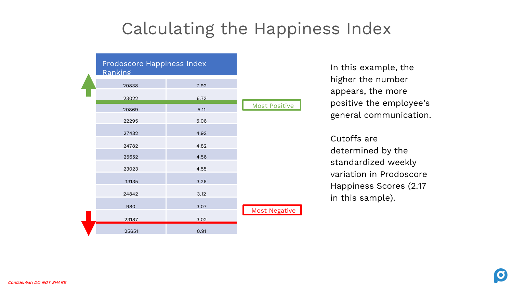# Calculating the Happiness Index



In this example, the higher the number appears, the more positive the employee's general communication.

Cutoffs are determined by the standardized weekly variation in Prodoscore Happiness Scores (2.17 in this sample).

 $\sigma$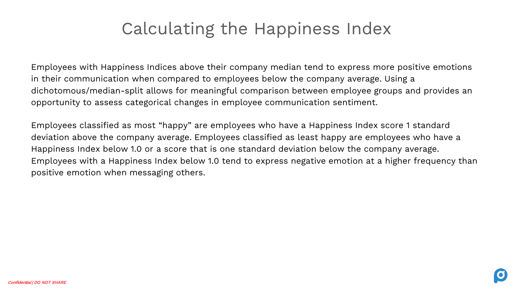# Calculating the Happiness Index

Employees with Happiness Indices above their company median tend to express more positive emotions in their communication when compared to employees below the company average. Using a dichotomous/median-split allows for meaningful comparison between employee groups and provides an opportunity to assess categorical changes in employee communication sentiment.

Employees classified as most "happy" are employees who have a Happiness Index score 1 standard deviation above the company average. Employees classified as least happy are employees who have a Happiness Index below 1.0 or a score that is one standard deviation below the company average. Employees with a Happiness Index below 1.0 tend to express negative emotion at a higher frequency than positive emotion when messaging others.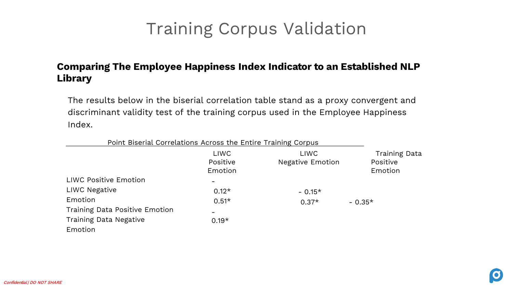### Training Corpus Validation

#### **Comparing The Employee Happiness Index Indicator to an Established NLP Library**

The results below in the biserial correlation table stand as a proxy convergent and discriminant validity test of the training corpus used in the Employee Happiness Index.

| Point Biserial Correlations Across the Entire Training Corpus |                                    |                                 |                                             |
|---------------------------------------------------------------|------------------------------------|---------------------------------|---------------------------------------------|
|                                                               | <b>LIWC</b><br>Positive<br>Emotion | <b>LIWC</b><br>Negative Emotion | <b>Training Data</b><br>Positive<br>Emotion |
| LIWC Positive Emotion                                         |                                    |                                 |                                             |
| LIWC Negative                                                 | $0.12*$                            | $-0.15*$                        |                                             |
| Emotion                                                       | $0.51*$                            | $0.37*$                         | $-0.35*$                                    |
| Training Data Positive Emotion                                |                                    |                                 |                                             |
| Training Data Negative<br>Emotion                             | $0.19*$                            |                                 |                                             |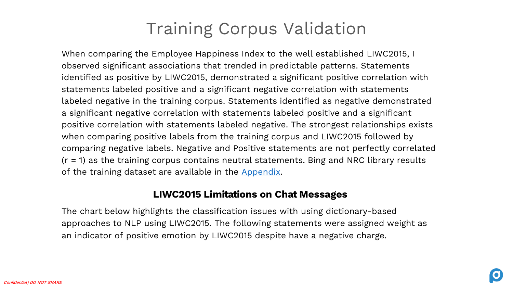# Training Corpus Validation

When comparing the Employee Happiness Index to the well established LIWC2015, I observed significant associations that trended in predictable patterns. Statements identified as positive by LIWC2015, demonstrated a significant positive correlation with statements labeled positive and a significant negative correlation with statements labeled negative in the training corpus. Statements identified as negative demonstrated a significant negative correlation with statements labeled positive and a significant positive correlation with statements labeled negative. The strongest relationships exists when comparing positive labels from the training corpus and LIWC2015 followed by comparing negative labels. Negative and Positive statements are not perfectly correlated (r = 1) as the training corpus contains neutral statements. Bing and NRC library results of the training dataset are available in the Appendix.

#### **LIWC2015 Limitations on Chat Messages**

The chart below highlights the classification issues with using dictionary-based approaches to NLP using LIWC2015. The following statements were assigned weight as an indicator of positive emotion by LIWC2015 despite have a negative charge.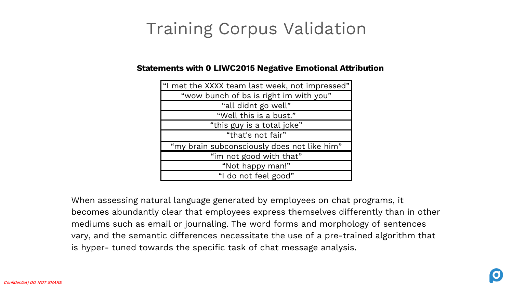# Training Corpus Validation

#### **Statements with 0 LIWC2015 Negative Emotional Attribution**

| "I met the XXXX team last week, not impressed" |  |  |  |  |
|------------------------------------------------|--|--|--|--|
| "wow bunch of bs is right im with you"         |  |  |  |  |
| "all didnt go well"                            |  |  |  |  |
| "Well this is a bust."                         |  |  |  |  |
| "this guy is a total joke"                     |  |  |  |  |
| "that's not fair"                              |  |  |  |  |
| "my brain subconsciously does not like him"    |  |  |  |  |
| "im not good with that"                        |  |  |  |  |
| "Not happy man!"                               |  |  |  |  |
| "I do not feel good"                           |  |  |  |  |

When assessing natural language generated by employees on chat programs, it becomes abundantly clear that employees express themselves differently than in other mediums such as email or journaling. The word forms and morphology of sentences vary, and the semantic differences necessitate the use of a pre-trained algorithm that is hyper- tuned towards the specific task of chat message analysis.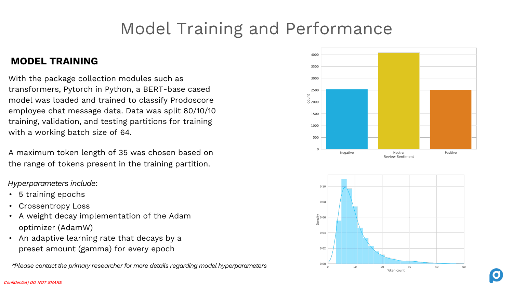# Model Training and Performance

#### **MODEL TRAINING**

With the package collection modules such as transformers, Pytorch in Python, a BERT-base cased model was loaded and trained to classify Prodoscore employee chat message data. Data was split 80/10/10 training, validation, and testing partitions for training with a working batch size of 64.

A maximum token length of 35 was chosen based on the range of tokens present in the training partition.

#### *Hyperparameters include*:

- 5 training epochs
- Crossentropy Loss
- A weight decay implementation of the Adam optimizer (AdamW)
- An adaptive learning rate that decays by a preset amount (gamma) for every epoch

*\*Please contact the primary researcher for more details regarding model hyperparameters*